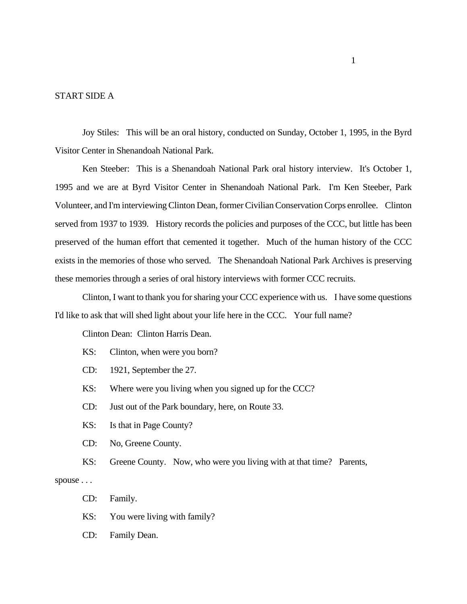## START SIDE A

Joy Stiles: This will be an oral history, conducted on Sunday, October 1, 1995, in the Byrd Visitor Center in Shenandoah National Park.

Ken Steeber: This is a Shenandoah National Park oral history interview. It's October 1, 1995 and we are at Byrd Visitor Center in Shenandoah National Park. I'm Ken Steeber, Park Volunteer, and I'm interviewing Clinton Dean, former Civilian Conservation Corps enrollee. Clinton served from 1937 to 1939. History records the policies and purposes of the CCC, but little has been preserved of the human effort that cemented it together. Much of the human history of the CCC exists in the memories of those who served. The Shenandoah National Park Archives is preserving these memories through a series of oral history interviews with former CCC recruits.

Clinton, I want to thank you for sharing your CCC experience with us. I have some questions I'd like to ask that will shed light about your life here in the CCC. Your full name?

Clinton Dean: Clinton Harris Dean.

- KS: Clinton, when were you born?
- CD: 1921, September the 27.
- KS: Where were you living when you signed up for the CCC?
- CD: Just out of the Park boundary, here, on Route 33.
- KS: Is that in Page County?
- CD: No, Greene County.
- KS: Greene County. Now, who were you living with at that time? Parents,

spouse . . .

- CD: Family.
- KS: You were living with family?
- CD: Family Dean.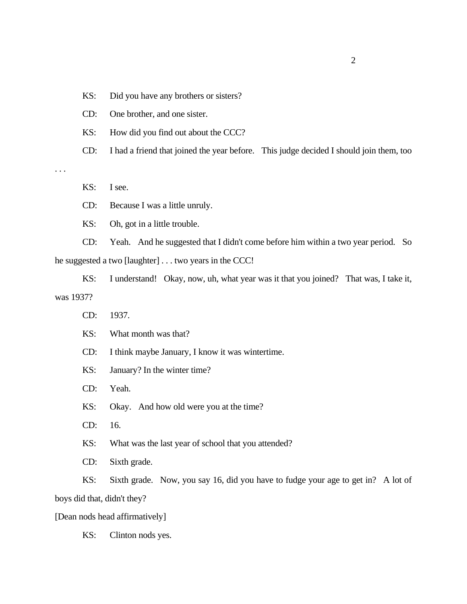KS: Did you have any brothers or sisters?

CD: One brother, and one sister.

KS: How did you find out about the CCC?

CD: I had a friend that joined the year before. This judge decided I should join them, too

. . .

KS: I see.

CD: Because I was a little unruly.

KS: Oh, got in a little trouble.

CD: Yeah. And he suggested that I didn't come before him within a two year period. So he suggested a two [laughter] . . . two years in the CCC!

KS: I understand! Okay, now, uh, what year was it that you joined? That was, I take it, was 1937?

CD: 1937.

KS: What month was that?

CD: I think maybe January, I know it was wintertime.

KS: January? In the winter time?

CD: Yeah.

KS: Okay. And how old were you at the time?

CD: 16.

KS: What was the last year of school that you attended?

CD: Sixth grade.

KS: Sixth grade. Now, you say 16, did you have to fudge your age to get in? A lot of boys did that, didn't they?

[Dean nods head affirmatively]

KS: Clinton nods yes.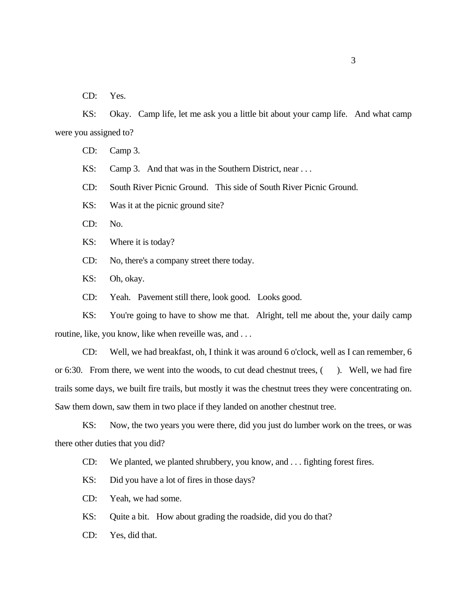CD: Yes.

KS: Okay. Camp life, let me ask you a little bit about your camp life. And what camp were you assigned to?

CD: Camp 3.

KS: Camp 3. And that was in the Southern District, near ...

CD: South River Picnic Ground. This side of South River Picnic Ground.

KS: Was it at the picnic ground site?

CD: No.

KS: Where it is today?

CD: No, there's a company street there today.

KS: Oh, okay.

CD: Yeah. Pavement still there, look good. Looks good.

KS: You're going to have to show me that. Alright, tell me about the, your daily camp routine, like, you know, like when reveille was, and . . .

CD: Well, we had breakfast, oh, I think it was around 6 o'clock, well as I can remember, 6 or 6:30. From there, we went into the woods, to cut dead chestnut trees, (). Well, we had fire trails some days, we built fire trails, but mostly it was the chestnut trees they were concentrating on. Saw them down, saw them in two place if they landed on another chestnut tree.

KS: Now, the two years you were there, did you just do lumber work on the trees, or was there other duties that you did?

CD: We planted, we planted shrubbery, you know, and . . . fighting forest fires.

KS: Did you have a lot of fires in those days?

CD: Yeah, we had some.

KS: Quite a bit. How about grading the roadside, did you do that?

CD: Yes, did that.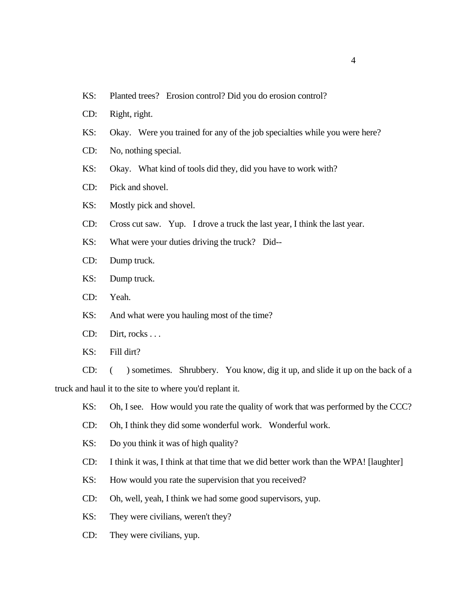- KS: Planted trees? Erosion control? Did you do erosion control?
- CD: Right, right.
- KS: Okay. Were you trained for any of the job specialties while you were here?
- CD: No, nothing special.
- KS: Okay. What kind of tools did they, did you have to work with?
- CD: Pick and shovel.
- KS: Mostly pick and shovel.
- CD: Cross cut saw. Yup. I drove a truck the last year, I think the last year.
- KS: What were your duties driving the truck? Did--
- CD: Dump truck.
- KS: Dump truck.
- CD: Yeah.
- KS: And what were you hauling most of the time?
- CD: Dirt, rocks . . .
- KS: Fill dirt?

CD: ( ) sometimes. Shrubbery. You know, dig it up, and slide it up on the back of a truck and haul it to the site to where you'd replant it.

- KS: Oh, I see. How would you rate the quality of work that was performed by the CCC?
- CD: Oh, I think they did some wonderful work. Wonderful work.
- KS: Do you think it was of high quality?
- CD: I think it was, I think at that time that we did better work than the WPA! [laughter]
- KS: How would you rate the supervision that you received?
- CD: Oh, well, yeah, I think we had some good supervisors, yup.
- KS: They were civilians, weren't they?
- CD: They were civilians, yup.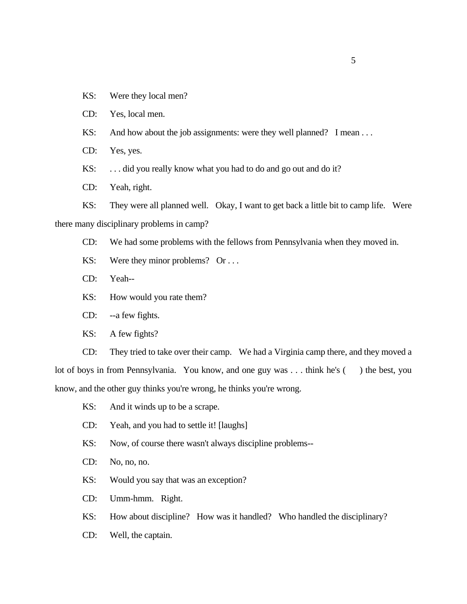- KS: Were they local men?
- CD: Yes, local men.
- KS: And how about the job assignments: were they well planned? I mean ...
- CD: Yes, yes.
- KS: ... did you really know what you had to do and go out and do it?
- CD: Yeah, right.

KS: They were all planned well. Okay, I want to get back a little bit to camp life. Were there many disciplinary problems in camp?

- CD: We had some problems with the fellows from Pennsylvania when they moved in.
- KS: Were they minor problems? Or ...
- CD: Yeah--
- KS: How would you rate them?
- CD: --a few fights.
- KS: A few fights?

CD: They tried to take over their camp. We had a Virginia camp there, and they moved a lot of boys in from Pennsylvania. You know, and one guy was . . . think he's () the best, you know, and the other guy thinks you're wrong, he thinks you're wrong.

- KS: And it winds up to be a scrape.
- CD: Yeah, and you had to settle it! [laughs]
- KS: Now, of course there wasn't always discipline problems--
- CD: No, no, no.
- KS: Would you say that was an exception?
- CD: Umm-hmm. Right.

KS: How about discipline? How was it handled? Who handled the disciplinary?

CD: Well, the captain.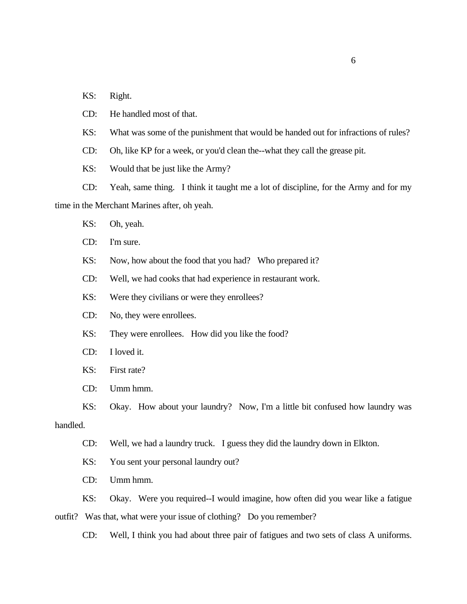KS: Right.

CD: He handled most of that.

KS: What was some of the punishment that would be handed out for infractions of rules?

CD: Oh, like KP for a week, or you'd clean the--what they call the grease pit.

KS: Would that be just like the Army?

CD: Yeah, same thing. I think it taught me a lot of discipline, for the Army and for my time in the Merchant Marines after, oh yeah.

- KS: Oh, yeah.
- CD: I'm sure.
- KS: Now, how about the food that you had? Who prepared it?

CD: Well, we had cooks that had experience in restaurant work.

KS: Were they civilians or were they enrollees?

CD: No, they were enrollees.

KS: They were enrollees. How did you like the food?

- CD: I loved it.
- KS: First rate?
- CD: Umm hmm.
- KS: Okay. How about your laundry? Now, I'm a little bit confused how laundry was

#### handled.

CD: Well, we had a laundry truck. I guess they did the laundry down in Elkton.

KS: You sent your personal laundry out?

CD: Umm hmm.

KS: Okay. Were you required--I would imagine, how often did you wear like a fatigue

outfit? Was that, what were your issue of clothing? Do you remember?

CD: Well, I think you had about three pair of fatigues and two sets of class A uniforms.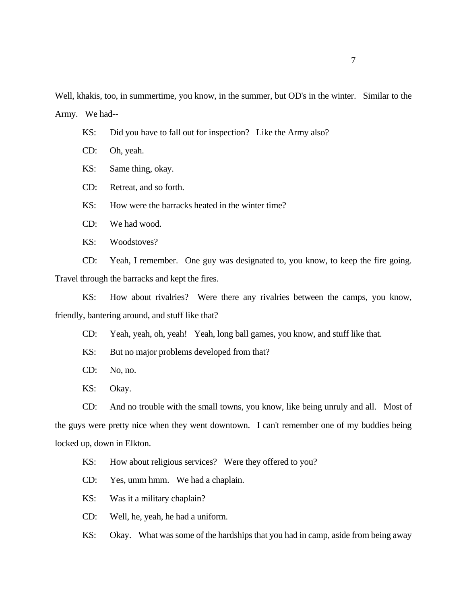Well, khakis, too, in summertime, you know, in the summer, but OD's in the winter. Similar to the Army. We had--

- KS: Did you have to fall out for inspection? Like the Army also?
- CD: Oh, yeah.
- KS: Same thing, okay.
- CD: Retreat, and so forth.

KS: How were the barracks heated in the winter time?

- CD: We had wood.
- KS: Woodstoves?

CD: Yeah, I remember. One guy was designated to, you know, to keep the fire going. Travel through the barracks and kept the fires.

KS: How about rivalries? Were there any rivalries between the camps, you know, friendly, bantering around, and stuff like that?

CD: Yeah, yeah, oh, yeah! Yeah, long ball games, you know, and stuff like that.

- KS: But no major problems developed from that?
- CD: No, no.
- KS: Okay.

CD: And no trouble with the small towns, you know, like being unruly and all. Most of the guys were pretty nice when they went downtown. I can't remember one of my buddies being locked up, down in Elkton.

KS: How about religious services? Were they offered to you?

CD: Yes, umm hmm. We had a chaplain.

KS: Was it a military chaplain?

CD: Well, he, yeah, he had a uniform.

KS: Okay. What was some of the hardships that you had in camp, aside from being away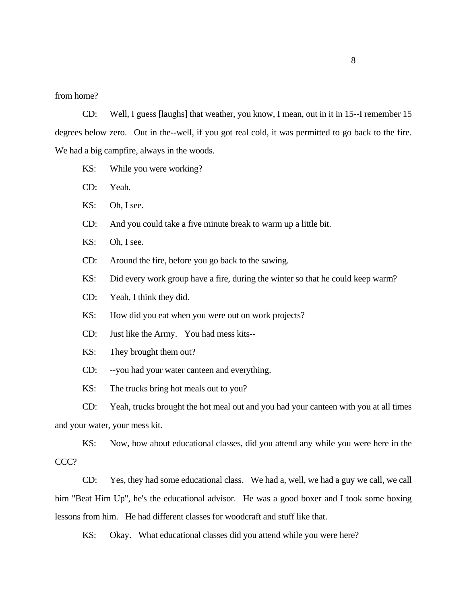### from home?

CD: Well, I guess [laughs] that weather, you know, I mean, out in it in 15--I remember 15 degrees below zero. Out in the--well, if you got real cold, it was permitted to go back to the fire. We had a big campfire, always in the woods.

- KS: While you were working?
- CD: Yeah.
- KS: Oh, I see.
- CD: And you could take a five minute break to warm up a little bit.
- KS: Oh, I see.
- CD: Around the fire, before you go back to the sawing.
- KS: Did every work group have a fire, during the winter so that he could keep warm?
- CD: Yeah, I think they did.
- KS: How did you eat when you were out on work projects?
- CD: Just like the Army. You had mess kits--
- KS: They brought them out?
- CD: --you had your water canteen and everything.
- KS: The trucks bring hot meals out to you?

CD: Yeah, trucks brought the hot meal out and you had your canteen with you at all times and your water, your mess kit.

KS: Now, how about educational classes, did you attend any while you were here in the CCC?

CD: Yes, they had some educational class. We had a, well, we had a guy we call, we call him "Beat Him Up", he's the educational advisor. He was a good boxer and I took some boxing lessons from him. He had different classes for woodcraft and stuff like that.

KS: Okay. What educational classes did you attend while you were here?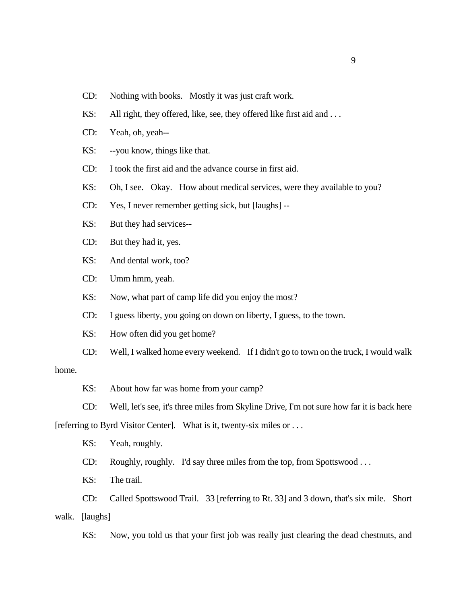- CD: Nothing with books. Mostly it was just craft work.
- KS: All right, they offered, like, see, they offered like first aid and ...
- CD: Yeah, oh, yeah--
- KS: --you know, things like that.
- CD: I took the first aid and the advance course in first aid.
- KS: Oh, I see. Okay. How about medical services, were they available to you?
- CD: Yes, I never remember getting sick, but [laughs] --
- KS: But they had services--
- CD: But they had it, yes.
- KS: And dental work, too?
- CD: Umm hmm, yeah.
- KS: Now, what part of camp life did you enjoy the most?
- CD: I guess liberty, you going on down on liberty, I guess, to the town.
- KS: How often did you get home?
- CD: Well, I walked home every weekend. If I didn't go to town on the truck, I would walk

## home.

- KS: About how far was home from your camp?
- CD: Well, let's see, it's three miles from Skyline Drive, I'm not sure how far it is back here

[referring to Byrd Visitor Center]. What is it, twenty-six miles or . . .

KS: Yeah, roughly.

CD: Roughly, roughly. I'd say three miles from the top, from Spottswood . . .

KS: The trail.

CD: Called Spottswood Trail. 33 [referring to Rt. 33] and 3 down, that's six mile. Short

walk. [laughs]

KS: Now, you told us that your first job was really just clearing the dead chestnuts, and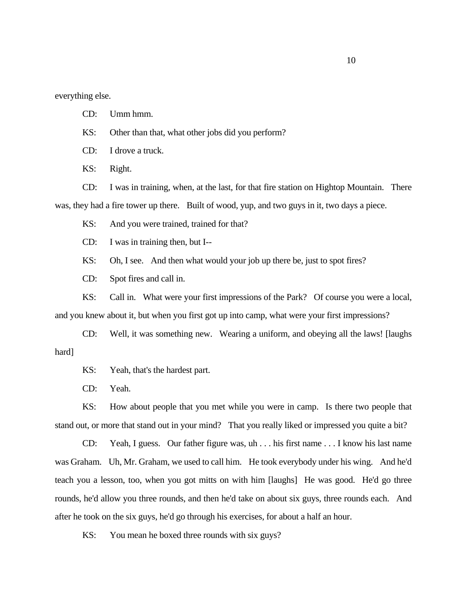everything else.

CD: Umm hmm.

KS: Other than that, what other jobs did you perform?

CD: I drove a truck.

KS: Right.

CD: I was in training, when, at the last, for that fire station on Hightop Mountain. There was, they had a fire tower up there. Built of wood, yup, and two guys in it, two days a piece.

KS: And you were trained, trained for that?

CD: I was in training then, but I--

KS: Oh, I see. And then what would your job up there be, just to spot fires?

CD: Spot fires and call in.

KS: Call in. What were your first impressions of the Park? Of course you were a local, and you knew about it, but when you first got up into camp, what were your first impressions?

CD: Well, it was something new. Wearing a uniform, and obeying all the laws! [laughs hard]

KS: Yeah, that's the hardest part.

CD: Yeah.

KS: How about people that you met while you were in camp. Is there two people that stand out, or more that stand out in your mind? That you really liked or impressed you quite a bit?

CD: Yeah, I guess. Our father figure was, uh . . . his first name . . . I know his last name was Graham. Uh, Mr. Graham, we used to call him. He took everybody under his wing. And he'd teach you a lesson, too, when you got mitts on with him [laughs] He was good. He'd go three rounds, he'd allow you three rounds, and then he'd take on about six guys, three rounds each. And after he took on the six guys, he'd go through his exercises, for about a half an hour.

KS: You mean he boxed three rounds with six guys?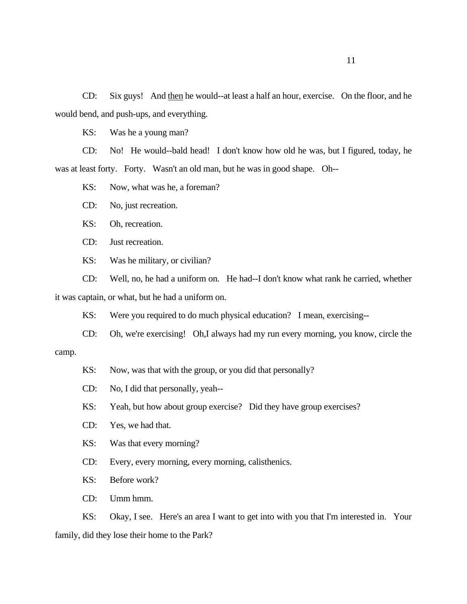CD: Six guys! And then he would--at least a half an hour, exercise. On the floor, and he would bend, and push-ups, and everything.

KS: Was he a young man?

CD: No! He would--bald head! I don't know how old he was, but I figured, today, he was at least forty. Forty. Wasn't an old man, but he was in good shape. Oh--

KS: Now, what was he, a foreman?

CD: No, just recreation.

KS: Oh, recreation.

CD: Just recreation.

KS: Was he military, or civilian?

CD: Well, no, he had a uniform on. He had--I don't know what rank he carried, whether it was captain, or what, but he had a uniform on.

KS: Were you required to do much physical education? I mean, exercising--

CD: Oh, we're exercising! Oh,I always had my run every morning, you know, circle the

camp.

KS: Now, was that with the group, or you did that personally?

- CD: No, I did that personally, yeah--
- KS: Yeah, but how about group exercise? Did they have group exercises?
- CD: Yes, we had that.

KS: Was that every morning?

CD: Every, every morning, every morning, calisthenics.

KS: Before work?

CD: Umm hmm.

KS: Okay, I see. Here's an area I want to get into with you that I'm interested in. Your family, did they lose their home to the Park?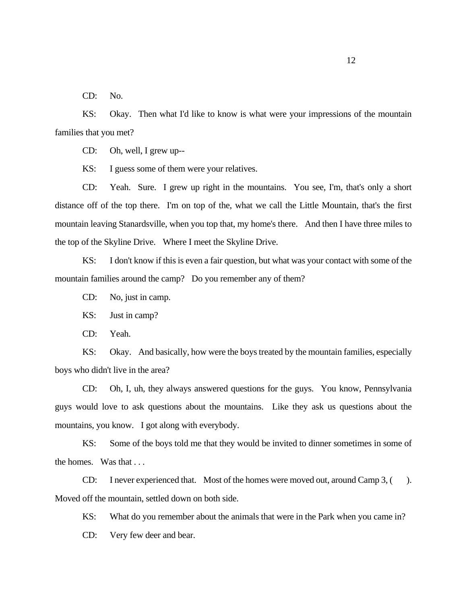CD: No.

KS: Okay. Then what I'd like to know is what were your impressions of the mountain families that you met?

CD: Oh, well, I grew up--

KS: I guess some of them were your relatives.

CD: Yeah. Sure. I grew up right in the mountains. You see, I'm, that's only a short distance off of the top there. I'm on top of the, what we call the Little Mountain, that's the first mountain leaving Stanardsville, when you top that, my home's there. And then I have three miles to the top of the Skyline Drive. Where I meet the Skyline Drive.

KS: I don't know if this is even a fair question, but what was your contact with some of the mountain families around the camp? Do you remember any of them?

CD: No, just in camp.

KS: Just in camp?

CD: Yeah.

KS: Okay. And basically, how were the boys treated by the mountain families, especially boys who didn't live in the area?

CD: Oh, I, uh, they always answered questions for the guys. You know, Pennsylvania guys would love to ask questions about the mountains. Like they ask us questions about the mountains, you know. I got along with everybody.

KS: Some of the boys told me that they would be invited to dinner sometimes in some of the homes. Was that . . .

CD: I never experienced that. Most of the homes were moved out, around Camp 3, ( ). Moved off the mountain, settled down on both side.

KS: What do you remember about the animals that were in the Park when you came in?

CD: Very few deer and bear.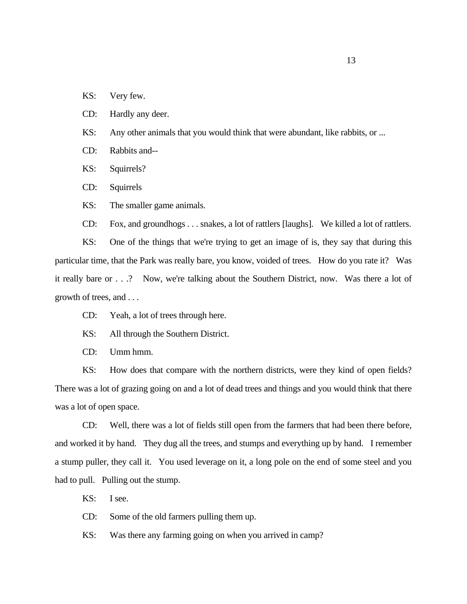- KS: Very few.
- CD: Hardly any deer.
- KS: Any other animals that you would think that were abundant, like rabbits, or ...
- CD: Rabbits and--
- KS: Squirrels?
- CD: Squirrels
- KS: The smaller game animals.
- CD: Fox, and groundhogs . . . snakes, a lot of rattlers [laughs]. We killed a lot of rattlers.

KS: One of the things that we're trying to get an image of is, they say that during this particular time, that the Park was really bare, you know, voided of trees. How do you rate it? Was it really bare or . . .? Now, we're talking about the Southern District, now. Was there a lot of growth of trees, and . . .

- CD: Yeah, a lot of trees through here.
- KS: All through the Southern District.
- CD: Umm hmm.

KS: How does that compare with the northern districts, were they kind of open fields? There was a lot of grazing going on and a lot of dead trees and things and you would think that there was a lot of open space.

CD: Well, there was a lot of fields still open from the farmers that had been there before, and worked it by hand. They dug all the trees, and stumps and everything up by hand. I remember a stump puller, they call it. You used leverage on it, a long pole on the end of some steel and you had to pull. Pulling out the stump.

- KS: I see.
- CD: Some of the old farmers pulling them up.
- KS: Was there any farming going on when you arrived in camp?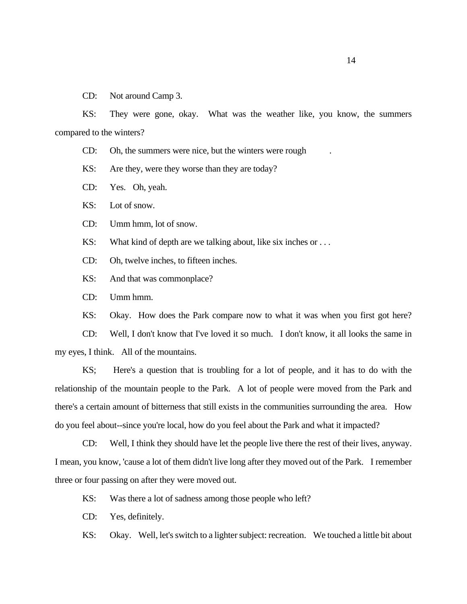CD: Not around Camp 3.

KS: They were gone, okay. What was the weather like, you know, the summers compared to the winters?

CD: Oh, the summers were nice, but the winters were rough

KS: Are they, were they worse than they are today?

CD: Yes. Oh, yeah.

KS: Lot of snow.

CD: Umm hmm, lot of snow.

KS: What kind of depth are we talking about, like six inches or ...

CD: Oh, twelve inches, to fifteen inches.

KS: And that was commonplace?

CD: Umm hmm.

KS: Okay. How does the Park compare now to what it was when you first got here?

CD: Well, I don't know that I've loved it so much. I don't know, it all looks the same in my eyes, I think. All of the mountains.

KS; Here's a question that is troubling for a lot of people, and it has to do with the relationship of the mountain people to the Park. A lot of people were moved from the Park and there's a certain amount of bitterness that still exists in the communities surrounding the area. How do you feel about--since you're local, how do you feel about the Park and what it impacted?

CD: Well, I think they should have let the people live there the rest of their lives, anyway. I mean, you know, 'cause a lot of them didn't live long after they moved out of the Park. I remember three or four passing on after they were moved out.

KS: Was there a lot of sadness among those people who left?

CD: Yes, definitely.

KS: Okay. Well, let's switch to a lighter subject: recreation. We touched a little bit about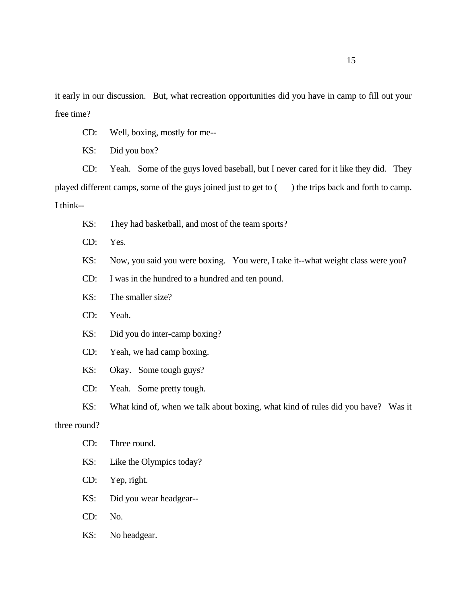it early in our discussion. But, what recreation opportunities did you have in camp to fill out your free time?

CD: Well, boxing, mostly for me--

KS: Did you box?

CD: Yeah. Some of the guys loved baseball, but I never cared for it like they did. They played different camps, some of the guys joined just to get to ( ) the trips back and forth to camp. I think--

- KS: They had basketball, and most of the team sports?
- CD: Yes.
- KS: Now, you said you were boxing. You were, I take it--what weight class were you?
- CD: I was in the hundred to a hundred and ten pound.
- KS: The smaller size?
- CD: Yeah.
- KS: Did you do inter-camp boxing?
- CD: Yeah, we had camp boxing.
- KS: Okay. Some tough guys?
- CD: Yeah. Some pretty tough.
- KS: What kind of, when we talk about boxing, what kind of rules did you have? Was it

## three round?

- CD: Three round.
- KS: Like the Olympics today?
- CD: Yep, right.
- KS: Did you wear headgear--
- CD: No.
- KS: No headgear.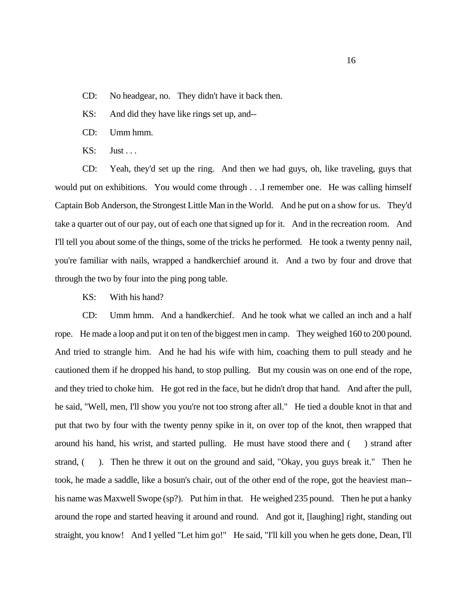- CD: No headgear, no. They didn't have it back then.
- KS: And did they have like rings set up, and--
- CD: Umm hmm.
- KS: Just ...

CD: Yeah, they'd set up the ring. And then we had guys, oh, like traveling, guys that would put on exhibitions. You would come through . . .I remember one. He was calling himself Captain Bob Anderson, the Strongest Little Man in the World. And he put on a show for us. They'd take a quarter out of our pay, out of each one that signed up for it. And in the recreation room. And I'll tell you about some of the things, some of the tricks he performed. He took a twenty penny nail, you're familiar with nails, wrapped a handkerchief around it. And a two by four and drove that through the two by four into the ping pong table.

KS: With his hand?

CD: Umm hmm. And a handkerchief. And he took what we called an inch and a half rope. He made a loop and put it on ten of the biggest men in camp. They weighed 160 to 200 pound. And tried to strangle him. And he had his wife with him, coaching them to pull steady and he cautioned them if he dropped his hand, to stop pulling. But my cousin was on one end of the rope, and they tried to choke him. He got red in the face, but he didn't drop that hand. And after the pull, he said, "Well, men, I'll show you you're not too strong after all." He tied a double knot in that and put that two by four with the twenty penny spike in it, on over top of the knot, then wrapped that around his hand, his wrist, and started pulling. He must have stood there and ( ) strand after strand, (C). Then he threw it out on the ground and said, "Okay, you guys break it." Then he took, he made a saddle, like a bosun's chair, out of the other end of the rope, got the heaviest man- his name was Maxwell Swope (sp?). Put him in that. He weighed 235 pound. Then he put a hanky around the rope and started heaving it around and round. And got it, [laughing] right, standing out straight, you know! And I yelled "Let him go!" He said, "I'll kill you when he gets done, Dean, I'll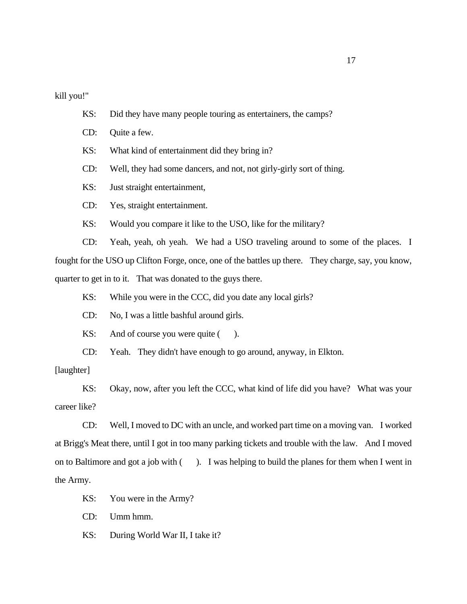kill you!"

- KS: Did they have many people touring as entertainers, the camps?
- CD: Quite a few.
- KS: What kind of entertainment did they bring in?
- CD: Well, they had some dancers, and not, not girly-girly sort of thing.
- KS: Just straight entertainment,
- CD: Yes, straight entertainment.
- KS: Would you compare it like to the USO, like for the military?

CD: Yeah, yeah, oh yeah. We had a USO traveling around to some of the places. I fought for the USO up Clifton Forge, once, one of the battles up there. They charge, say, you know, quarter to get in to it. That was donated to the guys there.

- KS: While you were in the CCC, did you date any local girls?
- CD: No, I was a little bashful around girls.
- KS: And of course you were quite  $($ ).
- CD: Yeah. They didn't have enough to go around, anyway, in Elkton.

## [laughter]

KS: Okay, now, after you left the CCC, what kind of life did you have? What was your career like?

CD: Well, I moved to DC with an uncle, and worked part time on a moving van. I worked at Brigg's Meat there, until I got in too many parking tickets and trouble with the law. And I moved on to Baltimore and got a job with ( ). I was helping to build the planes for them when I went in the Army.

- KS: You were in the Army?
- CD: Umm hmm.
- KS: During World War II, I take it?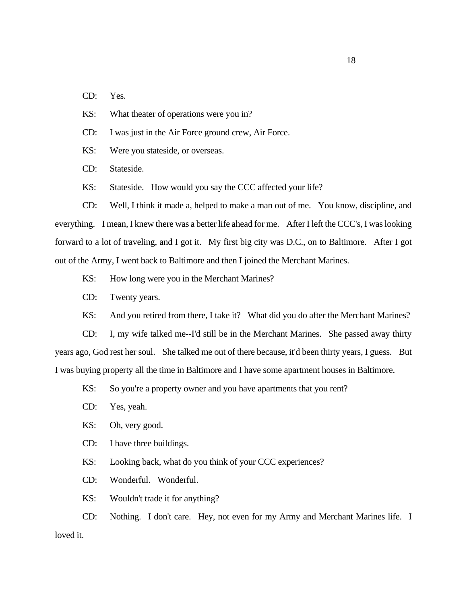CD: Yes.

KS: What theater of operations were you in?

CD: I was just in the Air Force ground crew, Air Force.

KS: Were you stateside, or overseas.

CD: Stateside.

KS: Stateside. How would you say the CCC affected your life?

CD: Well, I think it made a, helped to make a man out of me. You know, discipline, and everything. I mean, I knew there was a better life ahead for me. After I left the CCC's, I was looking forward to a lot of traveling, and I got it. My first big city was D.C., on to Baltimore. After I got out of the Army, I went back to Baltimore and then I joined the Merchant Marines.

KS: How long were you in the Merchant Marines?

- CD: Twenty years.
- KS: And you retired from there, I take it? What did you do after the Merchant Marines?

CD: I, my wife talked me--I'd still be in the Merchant Marines. She passed away thirty years ago, God rest her soul. She talked me out of there because, it'd been thirty years, I guess. But I was buying property all the time in Baltimore and I have some apartment houses in Baltimore.

KS: So you're a property owner and you have apartments that you rent?

CD: Yes, yeah.

KS: Oh, very good.

CD: I have three buildings.

KS: Looking back, what do you think of your CCC experiences?

CD: Wonderful. Wonderful.

KS: Wouldn't trade it for anything?

CD: Nothing. I don't care. Hey, not even for my Army and Merchant Marines life. I loved it.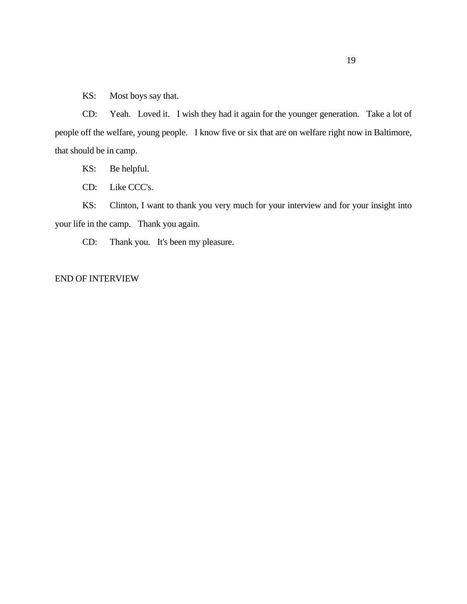KS: Most boys say that.

CD: Yeah. Loved it. I wish they had it again for the younger generation. Take a lot of people off the welfare, young people. I know five or six that are on welfare right now in Baltimore, that should be in camp.

KS: Be helpful.

CD: Like CCC's.

KS: Clinton, I want to thank you very much for your interview and for your insight into your life in the camp. Thank you again.

CD: Thank you. It's been my pleasure.

## END OF INTERVIEW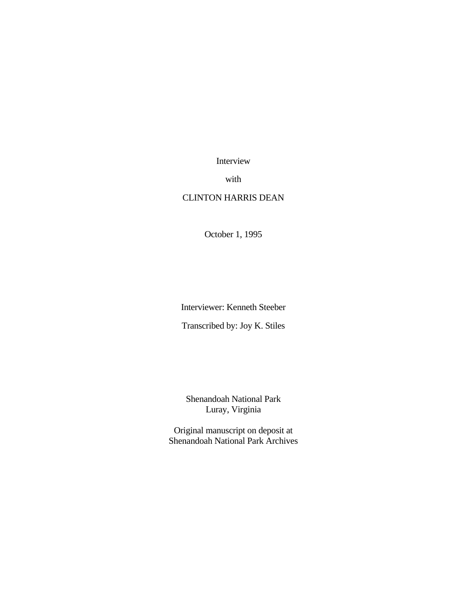Interview

with

# CLINTON HARRIS DEAN

October 1, 1995

Interviewer: Kenneth Steeber

Transcribed by: Joy K. Stiles

Shenandoah National Park Luray, Virginia

Original manuscript on deposit at Shenandoah National Park Archives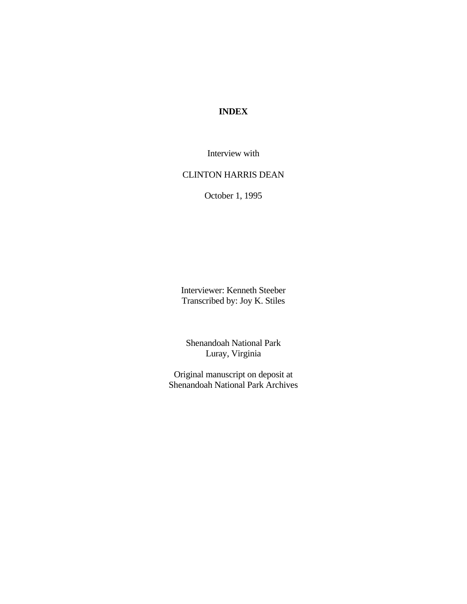# **INDEX**

Interview with

# CLINTON HARRIS DEAN

October 1, 1995

Interviewer: Kenneth Steeber Transcribed by: Joy K. Stiles

Shenandoah National Park Luray, Virginia

Original manuscript on deposit at Shenandoah National Park Archives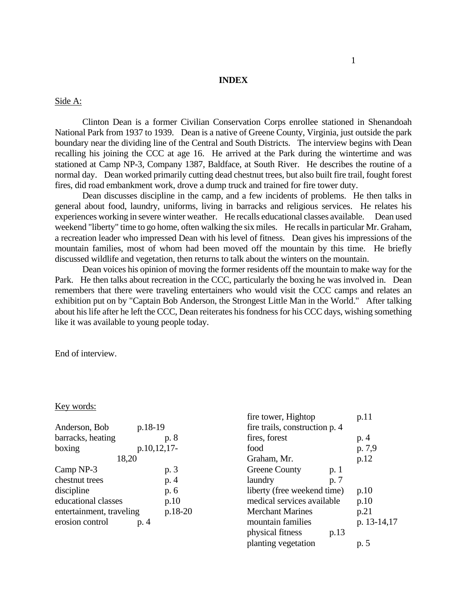## **INDEX**

### Side A:

Clinton Dean is a former Civilian Conservation Corps enrollee stationed in Shenandoah National Park from 1937 to 1939. Dean is a native of Greene County, Virginia, just outside the park boundary near the dividing line of the Central and South Districts. The interview begins with Dean recalling his joining the CCC at age 16. He arrived at the Park during the wintertime and was stationed at Camp NP-3, Company 1387, Baldface, at South River. He describes the routine of a normal day. Dean worked primarily cutting dead chestnut trees, but also built fire trail, fought forest fires, did road embankment work, drove a dump truck and trained for fire tower duty.

Dean discusses discipline in the camp, and a few incidents of problems. He then talks in general about food, laundry, uniforms, living in barracks and religious services. He relates his experiences working in severe winter weather. He recalls educational classes available. Dean used weekend "liberty" time to go home, often walking the six miles. He recalls in particular Mr. Graham, a recreation leader who impressed Dean with his level of fitness. Dean gives his impressions of the mountain families, most of whom had been moved off the mountain by this time. He briefly discussed wildlife and vegetation, then returns to talk about the winters on the mountain.

Dean voices his opinion of moving the former residents off the mountain to make way for the Park. He then talks about recreation in the CCC, particularly the boxing he was involved in. Dean remembers that there were traveling entertainers who would visit the CCC camps and relates an exhibition put on by "Captain Bob Anderson, the Strongest Little Man in the World." After talking about his life after he left the CCC, Dean reiterates his fondness for his CCC days, wishing something like it was available to young people today.

End of interview.

#### Key words:

| p.18-19                             |
|-------------------------------------|
| p. 8                                |
| p.10,12,17-                         |
| 18,20                               |
| p. 3                                |
| p. 4                                |
| p. 6                                |
| p.10                                |
| p.18-20<br>entertainment, traveling |
|                                     |
|                                     |

| fire tower, Hightop            | p.11        |
|--------------------------------|-------------|
| fire trails, construction p. 4 |             |
| fires, forest                  | p. 4        |
| food                           | p. 7,9      |
| Graham, Mr.                    | p.12        |
| <b>Greene County</b><br>p. 1   |             |
| laundry<br>p. 7                |             |
| liberty (free weekend time)    | p.10        |
| medical services available     | p.10        |
| <b>Merchant Marines</b>        | p.21        |
| mountain families              | p. 13-14,17 |
| physical fitness<br>p.13       |             |
| planting vegetation            | p. 5        |